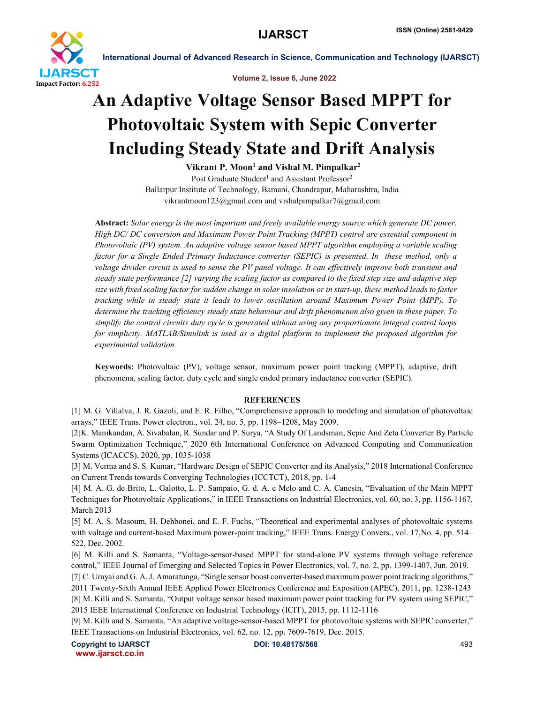

International Journal of Advanced Research in Science, Communication and Technology (IJARSCT)

Volume 2, Issue 6, June 2022

## An Adaptive Voltage Sensor Based MPPT for Photovoltaic System with Sepic Converter Including Steady State and Drift Analysis

Vikrant P. Moon<sup>1</sup> and Vishal M. Pimpalkar<sup>2</sup>

Post Graduate Student<sup>1</sup> and Assistant Professor<sup>2</sup> Ballarpur Institute of Technology, Bamani, Chandrapur, Maharashtra, India vikrantmoon123@gmail.com and vishalpimpalkar7@gmail.com

Abstract: *Solar energy is the most important and freely available energy source which generate DC power. High DC/ DC conversion and Maximum Power Point Tracking (MPPT) control are essential component in Photovoltaic (PV) system. An adaptive voltage sensor based MPPT algorithm employing a variable scaling factor for a Single Ended Primary Inductance converter (SEPIC) is presented. In these method, only a voltage divider circuit is used to sense the PV panel voltage. It can effectively improve both transient and steady state performance [2] varying the scaling factor as compared to the fixed step size and adaptive step size with fixed scaling factor for sudden change in solar insolation or in start-up, these method leads to faster tracking while in steady state it leads to lower oscillation around Maximum Power Point (MPP). To determine the tracking efficiency steady state behaviour and drift phenomenon also given in these paper. To simplify the control circuits duty cycle is generated without using any proportionate integral control loops for simplicity. MATLAB/Simulink is used as a digital platform to implement the proposed algorithm for experimental validation.*

Keywords: Photovoltaic (PV), voltage sensor, maximum power point tracking (MPPT), adaptive, drift phenomena, scaling factor, duty cycle and single ended primary inductance converter (SEPIC).

## **REFERENCES**

[1] M. G. Villalva, J. R. Gazoli, and E. R. Filho, "Comprehensive approach to modeling and simulation of photovoltaic arrays," IEEE Trans. Power electron., vol. 24, no. 5, pp. 1198–1208, May 2009.

[2]K. Manikandan, A. Sivabalan, R. Sundar and P. Surya, "A Study Of Landsman, Sepic And Zeta Converter By Particle Swarm Optimization Technique," 2020 6th International Conference on Advanced Computing and Communication Systems (ICACCS), 2020, pp. 1035-1038

[3] M. Verma and S. S. Kumar, "Hardware Design of SEPIC Converter and its Analysis," 2018 International Conference on Current Trends towards Converging Technologies (ICCTCT), 2018, pp. 1-4

[4] M. A. G. de Brito, L. Galotto, L. P. Sampaio, G. d. A. e Melo and C. A. Canesin, "Evaluation of the Main MPPT Techniques for Photovoltaic Applications," in IEEE Transactions on Industrial Electronics, vol. 60, no. 3, pp. 1156-1167, March 2013

[5] M. A. S. Masoum, H. Dehbonei, and E. F. Fuchs, "Theoretical and experimental analyses of photovoltaic systems with voltage and current-based Maximum power-point tracking," IEEE Trans. Energy Convers., vol. 17, No. 4, pp. 514– 522, Dec. 2002.

[6] M. Killi and S. Samanta, "Voltage-sensor-based MPPT for stand-alone PV systems through voltage reference control," IEEE Journal of Emerging and Selected Topics in Power Electronics, vol. 7, no. 2, pp. 1399-1407, Jun. 2019.

[7] C. Urayai and G. A. J. Amaratunga, "Single sensor boost converter-based maximum power point tracking algorithms," 2011 Twenty-Sixth Annual IEEE Applied Power Electronics Conference and Exposition (APEC), 2011, pp. 1238-1243

[8] M. Killi and S. Samanta, "Output voltage sensor based maximum power point tracking for PV system using SEPIC," 2015 IEEE International Conference on Industrial Technology (ICIT), 2015, pp. 1112-1116

[9] M. Killi and S. Samanta, "An adaptive voltage-sensor-based MPPT for photovoltaic systems with SEPIC converter," IEEE Transactions on Industrial Electronics, vol. 62, no. 12, pp. 7609-7619, Dec. 2015.

Copyright to IJARSCT **DOI: 10.48175/568** 493 www.ijarsct.co.in